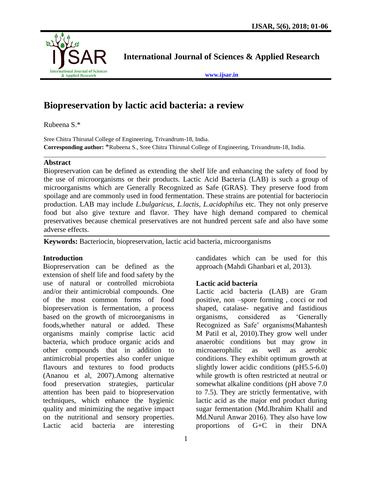

**International Journal of Sciences & Applied Research**

**[www.ijsar.in](http://www.ijsar.in/)**

# **Biopreservation by lactic acid bacteria: a review**

Rubeena S.\*

Sree Chitra Thirunal College of Engineering, Trivandrum-18, India. **Corresponding author:** \*Rubeena S., Sree Chitra Thirunal College of Engineering, Trivandrum-18, India.

# **Abstract**

Biopreservation can be defined as extending the shelf life and enhancing the safety of food by the use of microorganisms or their products. Lactic Acid Bacteria (LAB) is such a group of microorganisms which are Generally Recognized as Safe (GRAS). They preserve food from spoilage and are commonly used in food fermentation. These strains are potential for bacteriocin production. LAB may include *L.bulgaricus, L.lactis, L.acidophilus* etc. They not only preserve food but also give texture and flavor. They have high demand compared to chemical preservatives because chemical preservatives are not hundred percent safe and also have some adverse effects.

 $\_$  ,  $\_$  ,  $\_$  ,  $\_$  ,  $\_$  ,  $\_$  ,  $\_$  ,  $\_$  ,  $\_$  ,  $\_$  ,  $\_$  ,  $\_$  ,  $\_$  ,  $\_$  ,  $\_$  ,  $\_$  ,  $\_$  ,  $\_$  ,  $\_$  ,  $\_$  ,  $\_$  ,  $\_$  ,  $\_$  ,  $\_$  ,  $\_$  ,  $\_$  ,  $\_$  ,  $\_$  ,  $\_$  ,  $\_$  ,  $\_$  ,  $\_$  ,  $\_$  ,  $\_$  ,  $\_$  ,  $\_$  ,  $\_$  ,

**Keywords:** Bacteriocin, biopreservation, lactic acid bacteria, microorganisms

# **Introduction**

Biopreservation can be defined as the extension of shelf life and food safety by the use of natural or controlled microbiota and/or their antimicrobial compounds. One of the most common forms of food biopreservation is fermentation, a process based on the growth of microorganisms in foods,whether natural or added. These organisms mainly comprise lactic acid bacteria, which produce organic acids and other compounds that in addition to antimicrobial properties also confer unique flavours and textures to food products (Ananou et al, 2007).Among alternative food preservation strategies, particular attention has been paid to biopreservation techniques, which enhance the hygienic quality and minimizing the negative impact on the nutritional and sensory properties. Lactic acid bacteria are interesting

candidates which can be used for this approach (Mahdi Ghanbari et al, 2013).

# **Lactic acid bacteria**

Lactic acid bacteria (LAB) are Gram positive, non –spore forming , cocci or rod shaped, catalase- negative and fastidious organisms, considered as 'Generally Recognized as Safe' organisms(Mahantesh M Patil et al, 2010).They grow well under anaerobic conditions but may grow in microaerophilic as well as aerobic conditions. They exhibit optimum growth at slightly lower acidic conditions (pH5.5-6.0) while growth is often restricted at neutral or somewhat alkaline conditions (pH above 7.0 to 7.5). They are strictly fermentative, with lactic acid as the major end product during sugar fermentation (Md.Ibrahim Khalil and Md.Nurul Anwar 2016). They also have low proportions of G+C in their DNA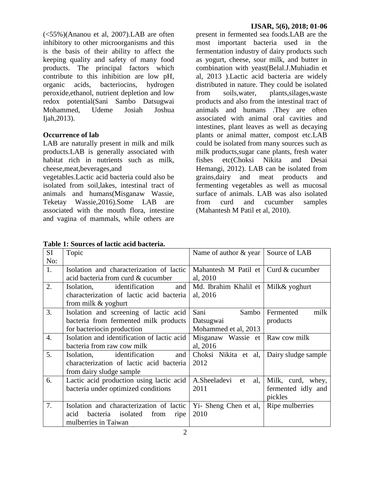(<55%)(Ananou et al, 2007).LAB are often inhibitory to other microorganisms and this is the basis of their ability to affect the keeping quality and safety of many food products. The principal factors which contribute to this inhibition are low pH, organic acids, bacteriocins, hydrogen peroxide,ethanol, nutrient depletion and low redox potential(Sani Sambo Datsugwai Mohammed, Udeme Josiah Joshua Ijah,2013).

#### **Occurrence of lab**

LAB are naturally present in milk and milk products.LAB is generally associated with habitat rich in nutrients such as milk, cheese,meat,beverages,and

vegetables.Lactic acid bacteria could also be isolated from soil,lakes, intestinal tract of animals and humans(Misganaw Wassie, Teketay Wassie,2016).Some LAB are associated with the mouth flora, intestine and vagina of mammals, while others are present in fermented sea foods.LAB are the most important bacteria used in the fermentation industry of dairy products such as yogurt, cheese, sour milk, and butter in combination with yeast(Belal.J.Muhiadin et al, 2013 ).Lactic acid bacteria are widely distributed in nature. They could be isolated from soils,water, plants,silages,waste products and also from the intestinal tract of animals and humans .They are often associated with animal oral cavities and intestines, plant leaves as well as decaying plants or animal matter, compost etc.LAB could be isolated from many sources such as milk products,sugar cane plants, fresh water fishes etc(Choksi Nikita and Desai Hemangi, 2012). LAB can be isolated from grains,dairy and meat products and fermenting vegetables as well as mucosal surface of animals. LAB was also isolated from curd and cucumber samples (Mahantesh M Patil et al, 2010).

| Table 1: Sources of lactic acid bacteria. |  |  |
|-------------------------------------------|--|--|
|-------------------------------------------|--|--|

| <b>SI</b>        | Topic                                       | Name of author & year                        | Source of LAB       |
|------------------|---------------------------------------------|----------------------------------------------|---------------------|
| No:              |                                             |                                              |                     |
| 1.               | Isolation and characterization of lactic    | Mahantesh M Patil et $\vert$ Curd & cucumber |                     |
|                  | acid bacteria from curd & cucumber          | al, 2010                                     |                     |
| 2.               | Isolation, identification<br>and            | Md. Ibrahim Khalil et                        | Milk& yoghurt       |
|                  | characterization of lactic acid bacteria    | al, 2016                                     |                     |
|                  | from milk & yoghurt                         |                                              |                     |
| 3.               | Isolation and screening of lactic acid      | Sani<br>Sambo                                | milk<br>Fermented   |
|                  | bacteria from fermented milk products       | Datsugwai                                    | products            |
|                  | for bacteriocin production                  | Mohammed et al, 2013                         |                     |
| $\overline{4}$ . | Isolation and identification of lactic acid | Misganaw Wassie et   Raw cow milk            |                     |
|                  | bacteria from raw cow milk                  | al, 2016                                     |                     |
| 5.               | Isolation, identification<br>and            | Choksi Nikita et al,                         | Dairy sludge sample |
|                  | characterization of lactic acid bacteria    | 2012                                         |                     |
|                  | from dairy sludge sample                    |                                              |                     |
| 6.               | Lactic acid production using lactic acid    | A.Sheeladevi<br>al,<br>et                    | Milk, curd, whey,   |
|                  | bacteria under optimized conditions         | 2011                                         | fermented idly and  |
|                  |                                             |                                              | pickles             |
| 7.               | Isolation and characterization of lactic    | Yi- Sheng Chen et al,                        | Ripe mulberries     |
|                  | acid<br>bacteria isolated from<br>ripe      | 2010                                         |                     |
|                  | mulberries in Taiwan                        |                                              |                     |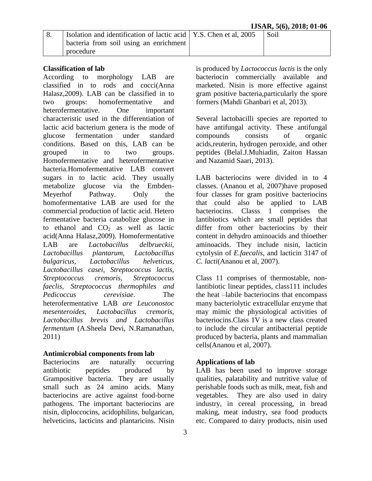| $\overline{\phantom{0}}8.$ | Isolation and identification of lactic acid   Y.S. Chen et al, $2005$ | Soil |
|----------------------------|-----------------------------------------------------------------------|------|
|                            | bacteria from soil using an enrichment                                |      |
|                            | procedure                                                             |      |

#### **Classification of lab**

According to morphology LAB are classified in to rods and cocci(Anna Halasz,2009). LAB can be classified in to two groups: homofermentative and heterofermentative. One important characteristic used in the differentiation of lactic acid bacterium genera is the mode of glucose fermentation under standard conditions. Based on this, LAB can be grouped in to two groups. Homofermentative and heterofermentative bacteria.Homofermentative LAB convert sugars in to lactic acid. They usually metabolize glucose via the Embden-Meyerhof Pathway. Only the homofermentative LAB are used for the commercial production of lactic acid. Hetero fermentative bacteria catabolize glucose in to ethanol and  $CO<sub>2</sub>$  as well as lactic acid(Anna Halasz,2009). Homofermentative LAB are *Lactobacillus delbrueckii, Lactobacillus plantarum, Lactobacillus bulgaricus, Lactobacillus helveticus, Lactobacillus casei, Streptococcus lactis, Streptococcus cremoris, Streptococcus faeclis, Streptococcus thermophiles and Pedicoccus cerevisiae*. The heterofermentative LAB *are Leuconostoc mesenteroides, Lactobacillus cremoris, Lactobacillus brevis and Lactobacillus fermentum* (A.Sheela Devi, N.Ramanathan, 2011)

#### **Antimicrobial components from lab**

Bacteriocins are naturally occurring antibiotic peptides produced by Grampositive bacteria. They are usually small such as 24 amino acids. Many bacteriocins are active against food-borne pathogens. The important bacteriocins are nisin, diploccocins, acidophilins, bulgarican, helveticins, lacticins and plantaricins. Nisin

is produced by *Lactococcus lactis* is the only bacteriocin commercially available and marketed. Nisin is more effective against gram positive bacteria,particularly the spore formers (Mahdi Ghanbari et al, 2013).

Several lactobacilli species are reported to have antifungal activity. These antifungal compounds consists of organic acids,reuterin, hydrogen peroxide, and other peptides (Belal.J.Muhiadin, Zaiton Hassan and Nazamid Saari, 2013).

LAB bacteriocins were divided in to 4 classes. (Ananou et al, 2007)have proposed four classes for gram positive bacteriocins that could also be applied to LAB bacteriocins. Classs 1 comprises the lantibiotics which are small peptides that differ from other bacteriocins by their content in dehydro aminoacids and thioether aminoacids. They include nisin, lacticin cytolysin of *E.faecalis*, and lacticin 3147 of *C. lacti*(Ananou et al, 2007).

Class 11 comprises of thermostable, nonlantibiotic linear peptides, class111 includes the heat –labile bacteriocins that encompass many bacteriolytic extracellular enzyme that may mimic the physiological activities of bacteriocins.Class 1V is a new class created to include the circular antibacterial peptide produced by bacteria, plants and mammalian cells(Ananou et al, 2007).

# **Applications of lab**

LAB has been used to improve storage qualities, palatability and nutritive value of perishable foods such as milk, meat, fish and vegetables. They are also used in dairy industry, in cereal processing, in bread making, meat industry, sea food products etc. Compared to dairy products, nisin used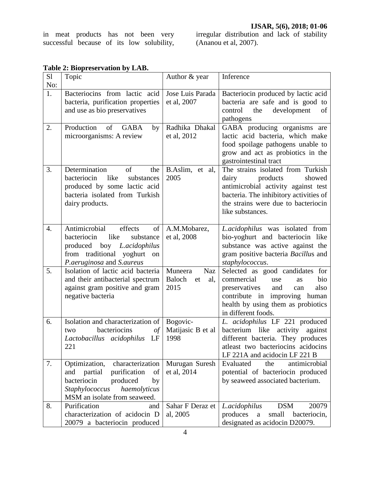in meat products has not been very successful because of its low solubility,

irregular distribution and lack of stability (Ananou et al, 2007).

| S1<br>No: | Topic                                                                                                                                                                        | Author & year                                        | Inference                                                                                                                                                                                                        |
|-----------|------------------------------------------------------------------------------------------------------------------------------------------------------------------------------|------------------------------------------------------|------------------------------------------------------------------------------------------------------------------------------------------------------------------------------------------------------------------|
| 1.        | Bacteriocins from lactic acid<br>bacteria, purification properties<br>and use as bio preservatives                                                                           | Jose Luis Parada<br>et al, 2007                      | Bacteriocin produced by lactic acid<br>bacteria are safe and is good to<br>development<br>control<br>the<br>of<br>pathogens                                                                                      |
| 2.        | Production<br>of<br><b>GABA</b><br>by<br>microorganisms: A review                                                                                                            | Radhika Dhakal<br>et al, 2012                        | GABA producing organisms are<br>lactic acid bacteria, which make<br>food spoilage pathogens unable to<br>grow and act as probiotics in the<br>gastrointestinal tract                                             |
| 3.        | Determination<br>of<br>the<br>bacteriocin<br>like<br>substances<br>produced by some lactic acid<br>bacteria isolated from Turkish<br>dairy products.                         | B.Aslim,<br>et al,<br>2005                           | The strains isolated from Turkish<br>products<br>showed<br>dairy<br>antimicrobial activity against test<br>bacteria. The inhibitory activities of<br>the strains were due to bacteriocin<br>like substances.     |
| 4.        | Antimicrobial<br>effects<br>of<br>like<br>bacteriocin<br>substance<br>boy L.acidophilus<br>produced<br>from traditional yoghurt on<br>P.aeruginosa and S.aureus              | A.M.Mobarez,<br>et al, 2008                          | L.acidophilus was isolated from<br>bio-yoghurt and bacteriocin like<br>substance was active against the<br>gram positive bacteria Bacillus and<br>staphylococcus.                                                |
| 5.        | Isolation of lactic acid bacteria<br>and their antibacterial spectrum<br>against gram positive and gram<br>negative bacteria                                                 | Muneera<br><b>Naz</b><br>Baloch<br>et<br>al,<br>2015 | Selected as good candidates for<br>commercial<br>bio<br>use<br><b>as</b><br>preservatives<br>also<br>and<br>can<br>contribute in improving<br>human<br>health by using them as probiotics<br>in different foods. |
| 6.        | Isolation and characterization of<br>bacteriocins<br>$\iota$<br>two<br>Lactobacillus acidophilus<br>LF<br>221                                                                | Bogovic-<br>Matijasic B et al<br>1998                | L. acidophilus LF 221 produced<br>bacterium like activity against<br>different bacteria. They produces<br>at least two bacteriocins acidocins<br>LF 221A and acidocin LF 221 B                                   |
| 7.        | characterization<br>Optimization,<br>partial<br>purification<br>of<br>and<br>bacteriocin<br>produced<br>by<br>Staphylococcus<br>haemolyticus<br>MSM an isolate from seaweed. | Murugan Suresh<br>et al, 2014                        | Evaluated<br>the<br>antimicrobial<br>potential of bacteriocin produced<br>by seaweed associated bacterium.                                                                                                       |
| 8.        | Purification<br>and<br>characterization of acidocin D<br>20079 a bacteriocin produced                                                                                        | Sahar F Deraz et<br>al, 2005                         | <b>DSM</b><br>20079<br>L.acidophilus<br>produces<br>small<br>bacteriocin,<br>a<br>designated as acidocin D20079.                                                                                                 |

# **Table 2: Biopreservation by LAB.**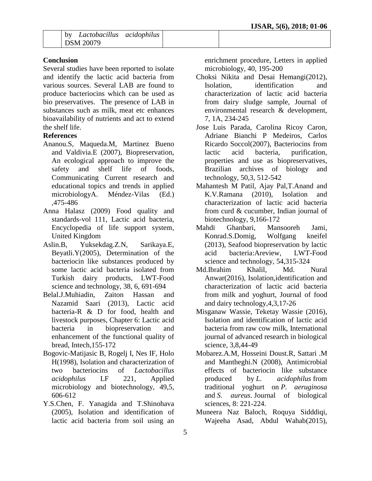# **Conclusion**

Several studies have been reported to isolate and identify the lactic acid bacteria from various sources. Several LAB are found to produce bacteriocins which can be used as bio preservatives. The presence of LAB in substances such as milk, meat etc enhances bioavailability of nutrients and act to extend the shelf life.

# **References**

- Ananou.S, Maqueda.M, Martinez Bueno and Valdivia.E (2007), Biopreservation, An ecological approach to improve the safety and shelf life of foods, Communicating Current research and educational topics and trends in applied microbiologyA. Méndez-Vilas (Ed.) ,475-486
- Anna Halasz (2009) Food quality and standards-vol 111, Lactic acid bacteria, Encyclopedia of life support system, United Kingdom
- Aslin.B, Yuksekdag.Z.N, Sarikaya.E, Beyatli.Y(2005), Determination of the bacteriocin like substances produced by some lactic acid bacteria isolated from Turkish dairy products, LWT-Food science and technology, 38, 6, 691-694
- Belal.J.Muhiadin, Zaiton Hassan and Nazamid Saari (2013), Lactic acid bacteria-R & D for food, health and livestock purposes, Chapter 6: Lactic acid bacteria in biopreservation and enhancement of the functional quality of bread, Intech,155-172
- Bogovic-Matijasic B, Rogelj I, Nes IF, Holo H(1998), Isolation and characterization of two bacteriocins of *Lactobacillus acidophilus* LF 221, Applied microbiology and biotechnology, 49,5, 606-612
- Y.S.Chen, F. Yanagida and T.Shinohava (2005), Isolation and identification of lactic acid bacteria from soil using an

enrichment procedure, Letters in applied microbiology, 40, 195-200

- Choksi Nikita and Desai Hemangi(2012), Isolation, identification and characterization of lactic acid bacteria from dairy sludge sample, Journal of environmental research & development, 7, 1A, 234-245
- Jose Luis Parada, Carolina Ricoy Caron, Adriane Bianchi P Medeiros, Carlos Ricardo Soccol(2007), Bacteriocins from lactic acid bacteria, purification, properties and use as biopreservatives, Brazilian archives of biology and technology, 50,3, 512-542
- Mahantesh M Patil, Ajay Pal,T.Anand and K.V.Ramana (2010), Isolation and characterization of lactic acid bacteria from curd & cucumber, Indian journal of biotechnology*,* 9,166-172
- Mahdi Ghanbari, Mansooreh Jami, Konrad.S.Domig, Wolfgang kneifel (2013), Seafood biopreservation by lactic acid bacteria:Areview, LWT*-*Food science and technology, 54,315-324
- Md.Ibrahim Khalil, Md. Nural Anwar(2016), Isolation,identification and characterization of lactic acid bacteria from milk and yoghurt*,* Journal of food and dairy technology,4,3,17-26
- Misganaw Wassie, Teketay Wassie (2016), Isolation and identification of lactic acid bacteria from raw cow milk, International journal of advanced research in biological science, 3,8,44-49
- Mobarez.A.M, Hosseini Doust.R, Sattari .M and Mantheghi.N (2008), Antimicrobial effects of bacteriocin like substance produced by *L. acidophilus* from traditional yoghurt on *P. aeruginosa* and *S. aureus*. Journal of biological sciences, 8: 221-224.
- Muneera Naz Baloch, Roquya Sidddiqi, Wajeeha Asad, Abdul Wahab(2015),